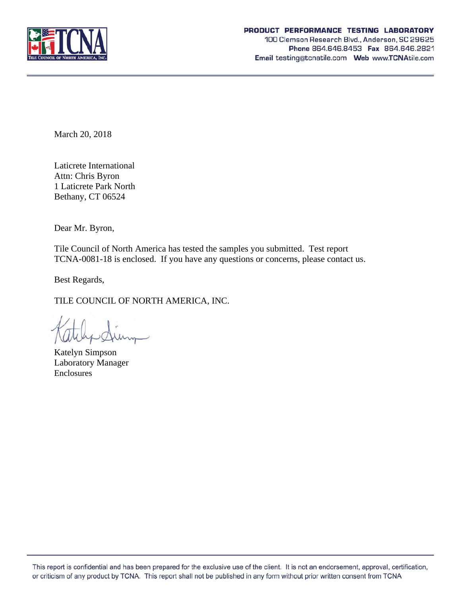

March 20, 2018

Laticrete International Attn: Chris Byron 1 Laticrete Park North Bethany, CT 06524

Dear Mr. Byron,

Tile Council of North America has tested the samples you submitted. Test report TCNA-0081-18 is enclosed. If you have any questions or concerns, please contact us.

Best Regards,

TILE COUNCIL OF NORTH AMERICA, INC.

Katelyn Simpson Laboratory Manager Enclosures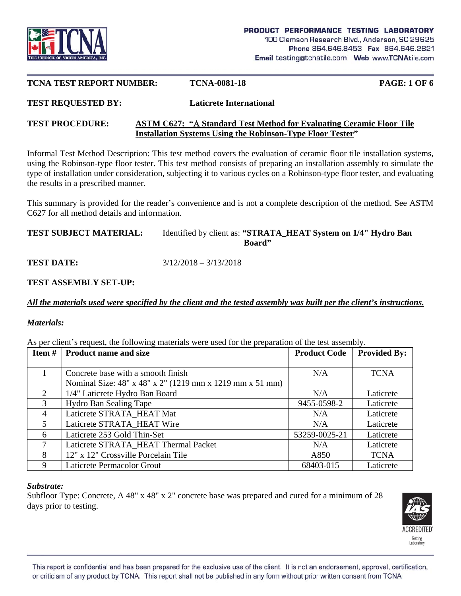

#### **TCNA TEST REPORT NUMBER: TCNA-0081-18 PAGE: 1 OF 6**

# **TEST REQUESTED BY: Laticrete International**

## **TEST PROCEDURE: ASTM C627: "Standard Test Method for Evaluating Ceramic Floor Tile Installation Systems Using the Robinson-Type Floor Tester"**

Informal Test Method Description: This test method covers the evaluation of ceramic floor tile installation systems, using the Robinson-type floor tester. This test method consists of preparing an installation assembly to simulate the type of installation under consideration, subjecting it to various cycles on a Robinson-type floor tester, and evaluating the results in a prescribed manner.

This summary is provided for the reader's convenience and is not a complete description of the method. See ASTM C627 for all method details and information.

## **TEST SUBJECT MATERIAL:** Identified by client as: **"STRATA\_HEAT System on 1/4" Hydro Ban Board"**

**TEST DATE:** 3/12/2018 – 3/13/2018

## **TEST ASSEMBLY SET-UP:**

*All the materials used were specified by the client and the tested assembly was built per the client's instructions.* 

## *Materials:*

| Item # | <b>Product name and size</b>                                                                   | <b>Product Code</b> | <b>Provided By:</b> |
|--------|------------------------------------------------------------------------------------------------|---------------------|---------------------|
| 1      | Concrete base with a smooth finish<br>Nominal Size: 48" x 48" x 2" (1219 mm x 1219 mm x 51 mm) | N/A                 | <b>TCNA</b>         |
|        | 1/4" Laticrete Hydro Ban Board                                                                 | N/A                 | Laticrete           |
| 3      | <b>Hydro Ban Sealing Tape</b>                                                                  | 9455-0598-2         | Laticrete           |
| 4      | Laticrete STRATA HEAT Mat                                                                      | N/A                 | Laticrete           |
| 5      | Laticrete STRATA HEAT Wire                                                                     | N/A                 | Laticrete           |
| 6      | Laticrete 253 Gold Thin-Set                                                                    | 53259-0025-21       | Laticrete           |
| 7      | Laticrete STRATA_HEAT Thermal Packet                                                           | N/A                 | Laticrete           |
| 8      | 12" x 12" Crossville Porcelain Tile                                                            | A850                | <b>TCNA</b>         |
| 9      | Laticrete Permacolor Grout                                                                     | 68403-015           | Laticrete           |

As per client's request, the following materials were used for the preparation of the test assembly.

## *Substrate:*

Subfloor Type: Concrete, A 48" x 48" x 2" concrete base was prepared and cured for a minimum of 28 days prior to testing.

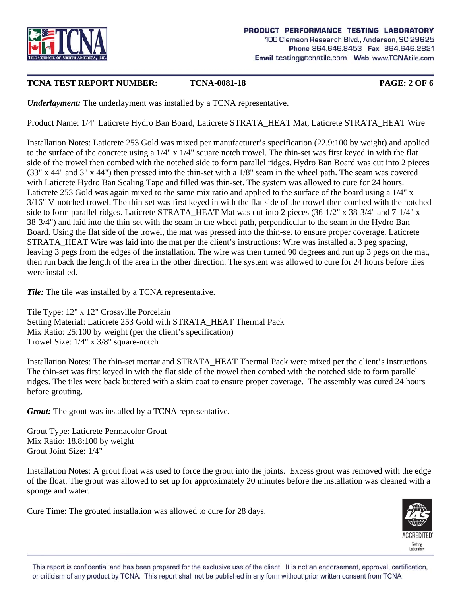

# **TCNA TEST REPORT NUMBER: TCNA-0081-18 PAGE: 2 OF 6**

*Underlayment:* The underlayment was installed by a TCNA representative.

Product Name: 1/4" Laticrete Hydro Ban Board, Laticrete STRATA\_HEAT Mat, Laticrete STRATA\_HEAT Wire

Installation Notes: Laticrete 253 Gold was mixed per manufacturer's specification (22.9:100 by weight) and applied to the surface of the concrete using a 1/4" x 1/4" square notch trowel. The thin-set was first keyed in with the flat side of the trowel then combed with the notched side to form parallel ridges. Hydro Ban Board was cut into 2 pieces (33" x 44" and 3" x 44") then pressed into the thin-set with a 1/8" seam in the wheel path. The seam was covered with Laticrete Hydro Ban Sealing Tape and filled was thin-set. The system was allowed to cure for 24 hours. Laticrete 253 Gold was again mixed to the same mix ratio and applied to the surface of the board using a 1/4" x 3/16" V-notched trowel. The thin-set was first keyed in with the flat side of the trowel then combed with the notched side to form parallel ridges. Laticrete STRATA\_HEAT Mat was cut into 2 pieces (36-1/2" x 38-3/4" and 7-1/4" x 38-3/4") and laid into the thin-set with the seam in the wheel path, perpendicular to the seam in the Hydro Ban Board. Using the flat side of the trowel, the mat was pressed into the thin-set to ensure proper coverage. Laticrete STRATA\_HEAT Wire was laid into the mat per the client's instructions: Wire was installed at 3 peg spacing, leaving 3 pegs from the edges of the installation. The wire was then turned 90 degrees and run up 3 pegs on the mat, then run back the length of the area in the other direction. The system was allowed to cure for 24 hours before tiles were installed.

*Tile:* The tile was installed by a TCNA representative.

Tile Type: 12" x 12" Crossville Porcelain Setting Material: Laticrete 253 Gold with STRATA\_HEAT Thermal Pack Mix Ratio: 25:100 by weight (per the client's specification) Trowel Size: 1/4" x 3/8" square-notch

Installation Notes: The thin-set mortar and STRATA\_HEAT Thermal Pack were mixed per the client's instructions. The thin-set was first keyed in with the flat side of the trowel then combed with the notched side to form parallel ridges. The tiles were back buttered with a skim coat to ensure proper coverage. The assembly was cured 24 hours before grouting.

*Grout:* The grout was installed by a TCNA representative.

Grout Type: Laticrete Permacolor Grout Mix Ratio: 18.8:100 by weight Grout Joint Size: 1/4"

Installation Notes: A grout float was used to force the grout into the joints. Excess grout was removed with the edge of the float. The grout was allowed to set up for approximately 20 minutes before the installation was cleaned with a sponge and water.

Cure Time: The grouted installation was allowed to cure for 28 days.

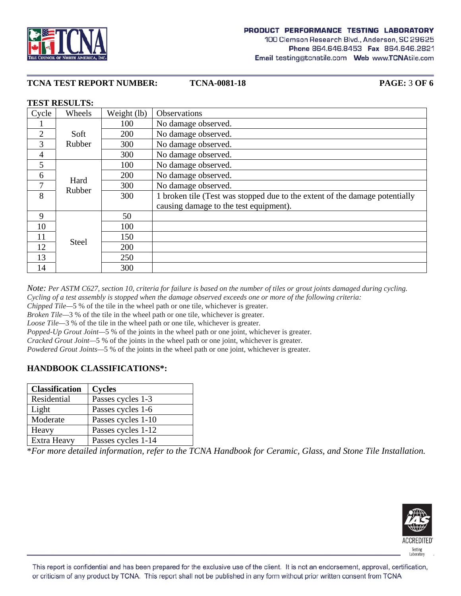



## **TCNA TEST REPORT NUMBER: TCNA-0081-18 PAGE:** 3 **OF 6**

#### **TEST RESULTS:**

| Cycle          | Wheels       | Weight (lb) | Observations                                                                |
|----------------|--------------|-------------|-----------------------------------------------------------------------------|
|                |              | 100         | No damage observed.                                                         |
| $\overline{2}$ | Soft         | 200         | No damage observed.                                                         |
| 3              | Rubber       | 300         | No damage observed.                                                         |
| $\overline{4}$ |              | 300         | No damage observed.                                                         |
| 5              |              | 100         | No damage observed.                                                         |
| 6              | Hard         | 200         | No damage observed.                                                         |
| 7              | Rubber       | 300         | No damage observed.                                                         |
| 8              |              | 300         | 1 broken tile (Test was stopped due to the extent of the damage potentially |
|                |              |             | causing damage to the test equipment).                                      |
| 9              |              | 50          |                                                                             |
| 10             |              | 100         |                                                                             |
| 11             | <b>Steel</b> | 150         |                                                                             |
| 12             |              | 200         |                                                                             |
| 13             |              | 250         |                                                                             |
| 14             |              | 300         |                                                                             |

*Note: Per ASTM C627, section 10, criteria for failure is based on the number of tiles or grout joints damaged during cycling. Cycling of a test assembly is stopped when the damage observed exceeds one or more of the following criteria:* 

*Chipped Tile*—5 % of the tile in the wheel path or one tile, whichever is greater.

*Broken Tile—*3 % of the tile in the wheel path or one tile, whichever is greater.

*Loose Tile*—3 % of the tile in the wheel path or one tile, whichever is greater.

*Popped-Up Grout Joint—*5 % of the joints in the wheel path or one joint, whichever is greater.

*Cracked Grout Joint—*5 % of the joints in the wheel path or one joint, whichever is greater.

*Powdered Grout Joints*—5 % of the joints in the wheel path or one joint, whichever is greater.

## **HANDBOOK CLASSIFICATIONS\*:**

| <b>Classification</b> | <b>Cycles</b>      |
|-----------------------|--------------------|
| Residential           | Passes cycles 1-3  |
| Light                 | Passes cycles 1-6  |
| Moderate              | Passes cycles 1-10 |
| Heavy                 | Passes cycles 1-12 |
| Extra Heavy           | Passes cycles 1-14 |

\**For more detailed information, refer to the TCNA Handbook for Ceramic, Glass, and Stone Tile Installation.*

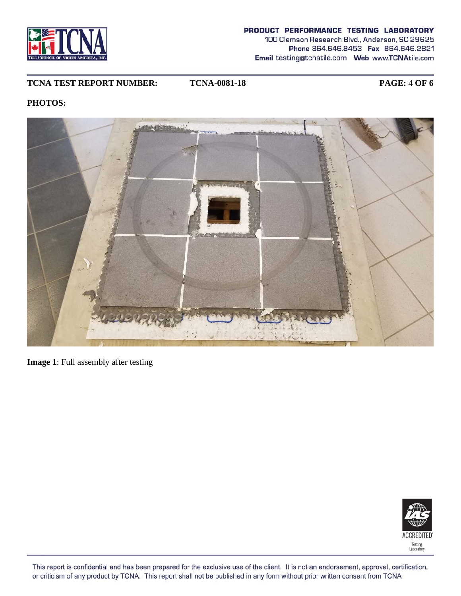

# **TCNA TEST REPORT NUMBER: TCNA-0081-18 PAGE:** 4 **OF 6**

# **PHOTOS:**



**Image 1**: Full assembly after testing

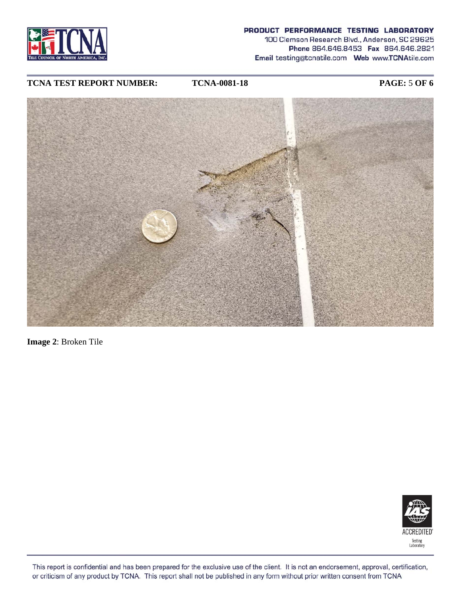

#### PRODUCT PERFORMANCE TESTING LABORATORY

100 Clemson Research Blvd., Anderson, SC 29625 Phone 864.646.8453 Fax 864.646.2821 Email testing@tcnatile.com Web www.TCNAtile.com

## **TCNA TEST REPORT NUMBER: TCNA-0081-18 PAGE:** 5 **OF 6**



**Image 2**: Broken Tile